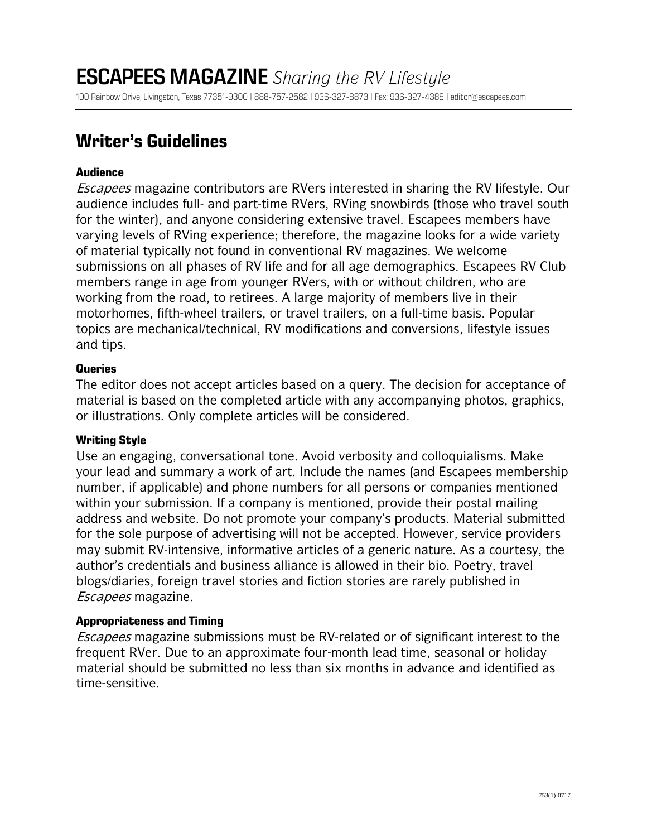## **Writer's Guidelines**

### **Audience**

Escapees magazine contributors are RVers interested in sharing the RV lifestyle. Our audience includes full- and part-time RVers, RVing snowbirds (those who travel south for the winter), and anyone considering extensive travel. Escapees members have varying levels of RVing experience; therefore, the magazine looks for a wide variety of material typically not found in conventional RV magazines. We welcome submissions on all phases of RV life and for all age demographics. Escapees RV Club members range in age from younger RVers, with or without children, who are working from the road, to retirees. A large majority of members live in their motorhomes, fifth-wheel trailers, or travel trailers, on a full-time basis. Popular topics are mechanical/technical, RV modifications and conversions, lifestyle issues and tips.

#### **Queries**

The editor does not accept articles based on a query. The decision for acceptance of material is based on the completed article with any accompanying photos, graphics, or illustrations. Only complete articles will be considered.

#### **Writing Style**

Use an engaging, conversational tone. Avoid verbosity and colloquialisms. Make your lead and summary a work of art. Include the names (and Escapees membership number, if applicable) and phone numbers for all persons or companies mentioned within your submission. If a company is mentioned, provide their postal mailing address and website. Do not promote your company's products. Material submitted for the sole purpose of advertising will not be accepted. However, service providers may submit RV-intensive, informative articles of a generic nature. As a courtesy, the author's credentials and business alliance is allowed in their bio. Poetry, travel blogs/diaries, foreign travel stories and fiction stories are rarely published in Escapees magazine.

#### **Appropriateness and Timing**

Escapees magazine submissions must be RV-related or of significant interest to the frequent RVer. Due to an approximate four-month lead time, seasonal or holiday material should be submitted no less than six months in advance and identified as time-sensitive.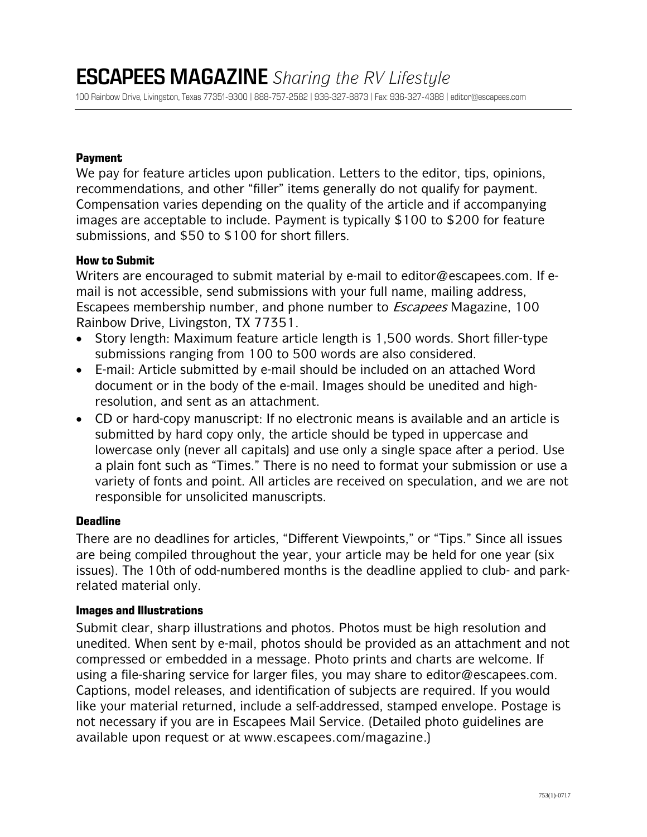100 Rainbow Drive, Livingston, Texas 77351-9300 | 888-757-2582 | 936-327-8873 | Fax: 936-327-4388 | [editor@escapees.com](mailto:editor@escapees.com)

#### **Payment**

We pay for feature articles upon publication. Letters to the editor, tips, opinions, recommendations, and other "filler" items generally do not qualify for payment. Compensation varies depending on the quality of the article and if accompanying images are acceptable to include. Payment is typically \$100 to \$200 for feature submissions, and \$50 to \$100 for short fillers.

#### **How to Submit**

Writers are encouraged to submit material by e-mail to [editor@escapees.com.](mailto:editor@escapees.com) If email is not accessible, send submissions with your full name, mailing address, Escapees membership number, and phone number to Escapees Magazine, 100 Rainbow Drive, Livingston, TX 77351.

- Story length: Maximum feature article length is 1,500 words. Short filler-type submissions ranging from 100 to 500 words are also considered.
- E-mail: Article submitted by e-mail should be included on an attached Word document or in the body of the e-mail. Images should be unedited and highresolution, and sent as an attachment.
- CD or hard-copy manuscript: If no electronic means is available and an article is submitted by hard copy only, the article should be typed in uppercase and lowercase only (never all capitals) and use only a single space after a period. Use a plain font such as "Times." There is no need to format your submission or use a variety of fonts and point. All articles are received on speculation, and we are not responsible for unsolicited manuscripts.

#### **Deadline**

There are no deadlines for articles, "Different Viewpoints," or "Tips." Since all issues are being compiled throughout the year, your article may be held for one year (six issues). The 10th of odd-numbered months is the deadline applied to club- and parkrelated material only.

#### **Images and Illustrations**

Submit clear, sharp illustrations and photos. Photos must be high resolution and unedited. When sent by e-mail, photos should be provided as an attachment and not compressed or embedded in a message. Photo prints and charts are welcome. If using a file-sharing service for larger files, you may share to [editor@escapees.com.](mailto:editor@escapees.com) Captions, model releases, and identification of subjects are required. If you would like your material returned, include a self-addressed, stamped envelope. Postage is not necessary if you are in Escapees Mail Service. (Detailed photo guidelines are available upon request or at www.escapees.com/magazine.)